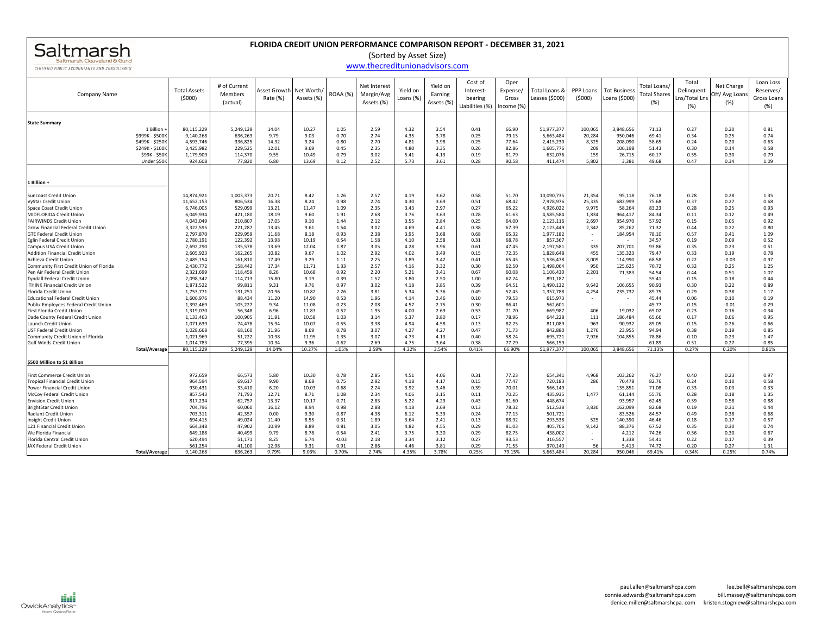# Saltmarsh, Cleaveland & Gund

#### **FLORIDA CREDIT UNION PERFORMANCE COMPARISON REPORT ‐ DECEMBER 31, 2021**

### (Sorted by Asset Size)

#### CERTIFIED PUBLIC ACCOUNTANTS AND CONSULTANTS

## www.thecreditunionadvisors.com

| Company Name                                                            |                      | <b>Total Assets</b><br>(5000) | # of Current<br>Members<br>(actual) | Asset Growth<br>Rate (%) | Net Worth.<br>Assets (%) | <b>ROAA (%)</b> | Net Interest<br>Margin/Avg<br>Assets (%) | Yield on<br>Loans (%) | Yield on<br>Earning<br>Assets (%) | Cost of<br>Interest-<br>bearing<br>Liabilities (%) | Oper<br>Expense<br>Gross<br>Income (%) | Total Loans &<br>Leases (\$000 | <b>PPP Loans</b><br>(5000) | <b>Tot Business</b><br>Loans (\$000) | Total Loans<br><b>Total Shares</b><br>(% ) | Total<br>Delinquent<br>Lns/Total Lns<br>(% ) | Net Charge<br>Off/Avg Loans<br>(%) | Loan Loss<br>Reserves/<br>Gross Loans<br>(%) |
|-------------------------------------------------------------------------|----------------------|-------------------------------|-------------------------------------|--------------------------|--------------------------|-----------------|------------------------------------------|-----------------------|-----------------------------------|----------------------------------------------------|----------------------------------------|--------------------------------|----------------------------|--------------------------------------|--------------------------------------------|----------------------------------------------|------------------------------------|----------------------------------------------|
|                                                                         |                      |                               |                                     |                          |                          |                 |                                          |                       |                                   |                                                    |                                        |                                |                            |                                      |                                            |                                              |                                    |                                              |
| <b>State Summary</b>                                                    | 1 Billion            | 80,115,229                    | 5,249,129                           | 14.04                    | 10.27                    | 1.05            | 2.59                                     | 4.32                  | 3.54                              | 0.41                                               | 66.90                                  | 51,977,377                     | 100,065                    | 3,848,656                            | 71.13                                      | 0.27                                         | 0.20                               | 0.81                                         |
|                                                                         | \$999K - \$500K      | 9,140,268                     | 636,263                             | 9.79                     | 9.03                     | 0.70            | 2.74                                     | 4.35                  | 3.78                              | 0.25                                               | 79.15                                  | 5,663,484                      | 20,284                     | 950,046                              | 69.41                                      | 0.34                                         | 0.25                               | 0.74                                         |
|                                                                         | \$499K - \$250K      | 4,593,746                     | 336,825                             | 14.32                    | 9.24                     | 0.80            | 2.70                                     | 4.81                  | 3.98                              | 0.25                                               | 77.64                                  | 2,415,230                      | 8,325                      | 208,090                              | 58.65                                      | 0.24                                         | 0.20                               | 0.63                                         |
|                                                                         | \$249K - \$100K      | 3,425,982                     | 229,525                             | 12.01                    | 9.69                     | 0.45            | 2.35                                     | 4.80                  | 3.35                              | 0.26                                               | 82.86                                  | 1,605,776                      | 209                        | 106,198                              | 51.43                                      | 0.30                                         | 0.14                               | 0.58                                         |
|                                                                         | \$99K - \$50K        | 1,179,909                     | 114,370                             | 9.55                     | 10.49                    | 0.79            | 3.02                                     | 5.41                  | 4.13                              | 0.19                                               | 81.79                                  | 632,076                        | 159                        | 26,715                               | 60.17                                      | 0.55                                         | 0.30                               | 0.79                                         |
|                                                                         | Under \$50           | 924.608                       | 77,820                              | 6.80                     | 13.69                    | 0.12            | 2.52                                     | 5.73                  | 3.61                              | 0.28                                               | 90.58                                  | 411.474                        | 5.802                      | 3.381                                | 49.68                                      | 0.47                                         | 0.34                               | 1.09                                         |
|                                                                         |                      |                               |                                     |                          |                          |                 |                                          |                       |                                   |                                                    |                                        |                                |                            |                                      |                                            |                                              |                                    |                                              |
| 1 Billion +                                                             |                      |                               |                                     |                          |                          |                 |                                          |                       |                                   |                                                    |                                        |                                |                            |                                      |                                            |                                              |                                    |                                              |
| Suncoast Credit Union                                                   |                      | 14,874,921                    | 1,003,373                           | 20.71                    | 8.42                     | 1.26            | 2.57                                     | 4.19                  | 3.62                              | 0.58                                               | 51.70                                  | 10,090,735                     | 21,354                     | 95,118                               | 76.18                                      | 0.28                                         | 0.28                               | 1.35                                         |
| VyStar Credit Union                                                     |                      | 11.652.153                    | 806.534                             | 16.38                    | 8.24                     | 0.98            | 2.74                                     | 4.30                  | 3.69                              | 0.51                                               | 68.42                                  | 7.978.976                      | 25,335                     | 682,999                              | 75.68                                      | 0.37                                         | 0.27                               | 0.68                                         |
| Space Coast Credit Union                                                |                      | 6,746,005                     | 529,099                             | 13.21                    | 11.47                    | 1.09            | 2.35                                     | 3.43                  | 2.97                              | 0.27                                               | 65.22                                  | 4,926,022                      | 9,975                      | 58,264                               | 83.23                                      | 0.28                                         | 0.25                               | 0.93                                         |
| MIDFLORIDA Credit Union<br><b>FAIRWINDS Credit Union</b>                |                      | 6,049,934<br>4,043,049        | 421,180<br>210,807                  | 18.19<br>17.05           | 9.60<br>9.10             | 1.91<br>1.44    | 2.68<br>2.12                             | 3.76<br>3.55          | 3.63<br>2.84                      | 0.28<br>0.25                                       | 61.63<br>64.00                         | 4,585,584<br>2,123,116         | 1,834<br>2,697             | 964,417<br>354,970                   | 84.34<br>57.92                             | 0.11<br>0.15                                 | 0.12<br>0.05                       | 0.49<br>0.92                                 |
| Grow Financial Federal Credit Union                                     |                      | 3,322,595                     | 221,287                             | 13.45                    | 9.61                     | 1.54            | 3.02                                     | 4.69                  | 4.41                              | 0.38                                               | 67.39                                  | 2,123,449                      | 2,342                      | 85,262                               | 71.32                                      | 0.44                                         | 0.22                               | 0.80                                         |
| <b>GTE Federal Credit Union</b>                                         |                      | 2,797,870                     | 229,959                             | 11.68                    | 8.18                     | 0.93            | 2.38                                     | 3.95                  | 3.68                              | 0.68                                               | 65.32                                  | 1,977,182                      |                            | 184,954                              | 78.10                                      | 0.57                                         | 0.41                               | 1.09                                         |
| Eglin Federal Credit Union                                              |                      | 2,780,191                     | 122,392                             | 13.98                    | 10.19                    | 0.54            | 1.58                                     | 4.10                  | 2.58                              | 0.31                                               | 68.78                                  | 857,367                        |                            |                                      | 34.57                                      | 0.19                                         | 0.09                               | 0.52                                         |
| Campus USA Credit Union                                                 |                      | 2,692,290                     | 135,578                             | 13.69                    | 12.04                    | 1.87            | 3.05                                     | 4.28                  | 3.96                              | 0.61                                               | 47.45                                  | 2,197,581                      | 335                        | 207,701                              | 93.86                                      | 0.35                                         | 0.23                               | 0.51                                         |
| <b>Addition Financial Credit Unior</b>                                  |                      | 2,605,923                     | 162,265                             | 10.82                    | 9.67                     | 1.02            | 2.92                                     | 4.02                  | 3.49                              | 0.15                                               | 72.35                                  | 1,828,648                      | 455                        | 135,323                              | 79.47                                      | 0.33                                         | 0.19                               | 0.78                                         |
| Achieva Credit Union                                                    |                      | 2,485,154                     | 161,810                             | 17.49                    | 9.29                     | 1.11            | 2.25                                     | 3.89                  | 3.42                              | 0.41                                               | 65.45                                  | 1,536,478                      | 8,009                      | 114,990                              | 68.58                                      | 0.22                                         | $-0.03$                            | 0.97                                         |
| Community First Credit Union of Florida<br>Pen Air Federal Credit Union |                      | 2,430,772<br>2,321,699        | 158,442<br>118,459                  | 17.34<br>8.26            | 11.71<br>10.68           | 1.33<br>0.92    | 2.57<br>2.20                             | 4.16<br>5.21          | 3.32<br>3.41                      | 0.30<br>0.67                                       | 62.50<br>60.08                         | 1,498,064<br>1,106,430         | 950<br>2,201               | 125,625<br>71,383                    | 70.72<br>54.54                             | 0.32<br>0.44                                 | 0.25<br>0.51                       | 1.25<br>1.07                                 |
| <b>Tyndall Federal Credit Union</b>                                     |                      | 2,098,342                     | 114,713                             | 15.80                    | 9.19                     | 0.39            | 1.52                                     | 3.80                  | 2.50                              | 1.00                                               | 62.24                                  | 891,187                        |                            |                                      | 55.41                                      | 0.15                                         | 0.18                               | 0.44                                         |
| <b>iTHINK Financial Credit Union</b>                                    |                      | 1,871,522                     | 99,811                              | 9.31                     | 9.76                     | 0.97            | 3.02                                     | 4.18                  | 3.85                              | 0.39                                               | 64.51                                  | 1,490,132                      | 9,642                      | 106,655                              | 90.93                                      | 0.30                                         | 0.22                               | 0.89                                         |
| Florida Credit Union                                                    |                      | 1,753,771                     | 131,251                             | 20.96                    | 10.82                    | 2.26            | 3.81                                     | 5.34                  | 5.36                              | 0.49                                               | 52.45                                  | 1,357,788                      | 4,254                      | 235,737                              | 89.75                                      | 0.29                                         | 0.38                               | 1.17                                         |
| <b>Educational Federal Credit Union</b>                                 |                      | 1.606.976                     | 88,434                              | 11.20                    | 14.90                    | 0.53            | 1.96                                     | 4.14                  | 2.46                              | 0.10                                               | 79.53                                  | 615,973                        |                            |                                      | 45.44                                      | 0.06                                         | 0.10                               | 0.19                                         |
| Publix Employees Federal Credit Union                                   |                      | 1,392,469                     | 105,227                             | 9.34                     | 11.08                    | 0.23            | 2.08                                     | 4.57                  | 2.75                              | 0.30                                               | 86.41                                  | 562,601                        |                            |                                      | 45.77                                      | 0.15                                         | $-0.01$                            | 0.29                                         |
| First Florida Credit Union                                              |                      | 1,319,070                     | 56,348                              | 6.96                     | 11.83                    | 0.52            | 1.95                                     | 4.00                  | 2.69                              | 0.53                                               | 71.70                                  | 669,987                        | 406                        | 19,032                               | 65.02                                      | 0.23                                         | 0.16                               | 0.34                                         |
| Dade County Federal Credit Union<br>Launch Credit Union                 |                      | 1,133,463<br>1,071,639        | 100,905<br>74,478                   | 11.91<br>15.94           | 10.58<br>10.07           | 1.03<br>0.55    | 3.14<br>3.38                             | 5.37<br>4.94          | 3.80<br>4.58                      | 0.17<br>0.13                                       | 78.96<br>82.25                         | 644,228<br>811.089             | 111<br>963                 | 186,484<br>90.932                    | 65.66<br>85.05                             | 0.17<br>0.15                                 | 0.06<br>0.26                       | 0.95<br>0.66                                 |
| USF Federal Credit Union                                                |                      | 1,028,668                     | 68,160                              | 21.96                    | 8.69                     | 0.78            | 3.07                                     | 4.27                  | 4.27                              | 0.47                                               | 71.73                                  | 842,880                        | 1,276                      | 23,955                               | 94.94                                      | 0.38                                         | 0.19                               | 0.85                                         |
| Community Credit Union of Florida                                       |                      | 1,021,969                     | 51,222                              | 10.98                    | 11.95                    | 1.35            | 3.07                                     | 4.73                  | 4.13                              | 0.40                                               | 58.24                                  | 695,721                        | 7,926                      | 104,855                              | 78.86                                      | 0.10                                         | 0.23                               | 1.47                                         |
| Gulf Winds Credit Union                                                 |                      | 1,014,783                     | 77,395                              | 10.34                    | 9.36                     | 0.62            | 2.69                                     | 4.75                  | 3.64                              | 0.38                                               | 77.29                                  | 566,159                        |                            |                                      | 61.89                                      | 0.51                                         | 0.27                               | 0.85                                         |
|                                                                         | <b>Total/Average</b> | 80,115,229                    | 5,249,129                           | 14.04%                   | 10.27%                   | 1.05%           | 2.59%                                    | 4.32%                 | 3.54%                             | 0.41%                                              | 66.90%                                 | 51,977,377                     | 100,065                    | 3,848,656                            | 71.13%                                     | 0.27%                                        | 0.20%                              | 0.81%                                        |
| \$500 Million to \$1 Billion                                            |                      |                               |                                     |                          |                          |                 |                                          |                       |                                   |                                                    |                                        |                                |                            |                                      |                                            |                                              |                                    |                                              |
| First Commerce Credit Union                                             |                      | 972.659                       | 66.573                              | 5.80                     | 10.30                    | 0.78            | 2.85                                     | 4.51                  | 4.06                              | 0.31                                               | 77.23                                  | 654,341                        | 4,968                      | 103,262                              | 76.27                                      | 0.40                                         | 0.23                               | 0.97                                         |
| <b>Tropical Financial Credit Union</b>                                  |                      | 964,594                       | 69,617                              | 9.90                     | 8.68                     | 0.75            | 2.92                                     | 4.18                  | 4.17                              | 0.15                                               | 77.47                                  | 720,183                        | 286                        | 70,478                               | 82.76                                      | 0.24                                         | 0.10                               | 0.58                                         |
| Power Financial Credit Union                                            |                      | 930,431                       | 33,410                              | 6.20                     | 10.03                    | 0.68            | 2.24                                     | 3.92                  | 3.46                              | 0.39                                               | 70.01                                  | 566,149                        |                            | 135,851                              | 71.08                                      | 0.33                                         | 0.03                               | 0.33                                         |
| McCoy Federal Credit Union                                              |                      | 857,543                       | 71,793                              | 12.71                    | 8.71                     | 1.08            | 2.34                                     | 4.06                  | 3.15                              | 0.11                                               | 70.25                                  | 435,935                        | 1,477                      | 61,144                               | 55.76                                      | 0.28                                         | 0.18                               | 1.35                                         |
| <b>Envision Credit Union</b>                                            |                      | 817,234<br>704.796            | 62,757<br>60,060                    | 13.37<br>16.12           | 10.17<br>8.94            | 0.71<br>0.98    | 2.83<br>2.88                             | 5.22<br>4.18          | 4.29<br>3.69                      | 0.43<br>0.13                                       | 81.60<br>78.32                         | 448,674<br>512.538             | 3,830                      | 93,957<br>162.099                    | 62.45<br>82.68                             | 0.59<br>0.19                                 | 0.58<br>0.31                       | 0.88<br>0.44                                 |
| <b>BrightStar Credit Union</b><br><b>Radiant Credit Union</b>           |                      | 703,311                       | 42,357                              | 0.00                     | 9.30                     | 0.87            | 4.38                                     | 6.12                  | 5.39                              | 0.24                                               | 77.13                                  | 501,721                        | $\sim$                     | 83,526                               | 84.57                                      | 0.49                                         | 0.38                               | 0.68                                         |
| Insight Credit Union                                                    |                      | 694,415                       | 49,024                              | 11.40                    | 8.55                     | 0.31            | 1.89                                     | 3.64                  | 2.41                              | 0.13                                               | 88.92                                  | 293,538                        | 525                        | 140,390                              | 46.46                                      | 0.18                                         | 0.17                               | 0.57                                         |
| 121 Financial Credit Union                                              |                      | 664,348                       | 47,902                              | 10.99                    | 8.89                     | 0.81            | 3.05                                     | 4.82                  | 4.55                              | 0.29                                               | 81.03                                  | 405,706                        | 9,142                      | 88,376                               | 67.52                                      | 0.35                                         | 0.30                               | 0.74                                         |
| We Florida Financial                                                    |                      | 649,188                       | 40,499                              | 9.79                     | 8.78                     | 0.54            | 2.41                                     | 3.75                  | 3.30                              | 0.29                                               | 82.75                                  | 438,002                        |                            | 4,212                                | 74.26                                      | 0.56                                         | 0.30                               | 0.67                                         |
| Florida Central Credit Union                                            |                      | 620,494                       | 51,171                              | 8.25                     | 6.74                     | $-0.03$         | 2.18                                     | 3.34                  | 3.12                              | 0.27                                               | 93.53                                  | 316,557                        |                            | 1,338                                | 54.41                                      | 0.22                                         | 0.17                               | 0.39                                         |
| JAX Federal Credit Union                                                |                      | 561,254                       | 41,100                              | 12.98                    | 9.31                     | 0.91            | 2.86                                     | 4.46                  | 3.81                              | 0.29                                               | 71.55                                  | 370,140                        | 56                         | 5,413                                | 74.72                                      | 0.20                                         | 0.27                               | 1.31                                         |
|                                                                         | <b>Total/Average</b> | 9,140,268                     | 636,263                             | 9.79%                    | 9.03%                    | 0.70%           | 2.74%                                    | 4.35%                 | 3.78%                             | 0.25%                                              | 79.15%                                 | 5,663,484                      | 20,284                     | 950.046                              | 69.41%                                     | 0.34%                                        | 0.25%                              | 0.74%                                        |

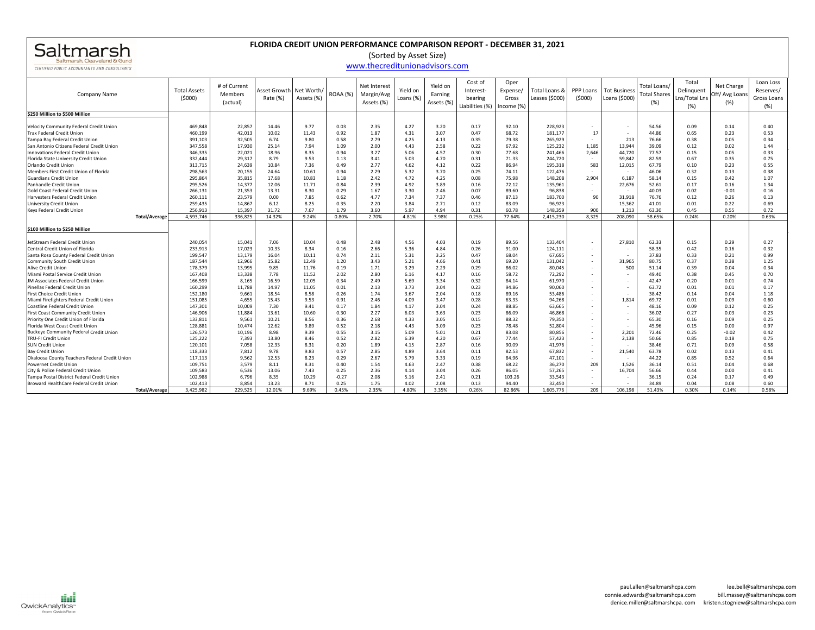

#### **FLORIDA CREDIT UNION PERFORMANCE COMPARISON REPORT ‐ DECEMBER 31, 2021**

(Sorted by Asset Size)

www.thecreditunionadvisors.com

| <b>Company Name</b>                           | <b>Total Assets</b><br>(5000) | # of Current<br>Members<br>(actual) | Asset Growth<br>Rate (%) | Net Worth,<br>Assets (%) | <b>ROAA</b> (%) | Net Interest<br>Margin/Avg<br>Assets (%) | Yield on<br>Loans (%) | Yield on<br>Earning<br>Assets (%) | Cost of<br>Interest-<br>bearing<br>Liabilities (%) | Oper<br>Expense<br>Gross<br>Income (% | Total Loans &<br>Leases (\$000) | PPP Loans<br>(5000)      | <b>Tot Business</b><br>Loans (\$000) | Total Loans/<br><b>Total Shares</b><br>(% ) | Total<br>Delinquent<br>Lns/Total Lns<br>(% ) | Net Charge<br>Off/ Avg Loans<br>(%) | Loan Loss<br>Reserves/<br>Gross Loans<br>(%) |
|-----------------------------------------------|-------------------------------|-------------------------------------|--------------------------|--------------------------|-----------------|------------------------------------------|-----------------------|-----------------------------------|----------------------------------------------------|---------------------------------------|---------------------------------|--------------------------|--------------------------------------|---------------------------------------------|----------------------------------------------|-------------------------------------|----------------------------------------------|
| \$250 Million to \$500 Million                |                               |                                     |                          |                          |                 |                                          |                       |                                   |                                                    |                                       |                                 |                          |                                      |                                             |                                              |                                     |                                              |
|                                               |                               |                                     |                          |                          |                 |                                          |                       |                                   |                                                    |                                       |                                 |                          |                                      |                                             |                                              |                                     |                                              |
| Velocity Community Federal Credit Union       | 469.848                       | 22,857                              | 14.46                    | 9.77                     | 0.03            | 2.35                                     | 4.27                  | 3.20                              | 0.17                                               | 92.10                                 | 228.923                         | $\sim$                   |                                      | 54.56                                       | 0.09                                         | 0.14                                | 0.40                                         |
| <b>Trax Federal Credit Union</b>              | 460,199                       | 42,013                              | 10.02                    | 11.43                    | 0.92            | 1.87                                     | 4.31                  | 3.07                              | 0.47                                               | 68.72                                 | 181,177                         | 17                       | $\sim$                               | 44.86                                       | 0.65                                         | 0.23                                | 0.53                                         |
| Tampa Bay Federal Credit Union                | 391,103                       | 32,505                              | 6.74                     | 9.80                     | 0.58            | 2.79                                     | 4.25                  | 4.13                              | 0.35                                               | 79.38                                 | 265,929                         |                          | 213                                  | 76.66                                       | 0.38                                         | 0.05                                | 0.34                                         |
| San Antonio Citizens Federal Credit Union     | 347,558                       | 17,930                              | 25.14                    | 7.94                     | 1.09            | 2.00                                     | 4.43                  | 2.58                              | 0.22                                               | 67.92                                 | 125,232                         | 1,185                    | 13,944                               | 39.09                                       | 0.12                                         | 0.02                                | 1.44                                         |
| Innovations Federal Credit Union              | 346,335                       | 22,021                              | 18.96                    | 8.35                     | 0.94            | 3.27                                     | 5.06                  | 4.57                              | 0.30                                               | 77.68                                 | 241,466                         | 2,646                    | 44.720                               | 77.57                                       | 0.15                                         | 0.05                                | 0.33                                         |
| Florida State University Credit Union         | 332,444                       | 29,317                              | 8.79                     | 9.53                     | 1.13            | 3.41                                     | 5.03                  | 4.70                              | 0.31                                               | 71.33                                 | 244,720                         | $\sim$                   | 59,842                               | 82.59                                       | 0.67                                         | 0.35                                | 0.75                                         |
| Orlando Credit Union                          | 313,715                       | 24,639                              | 10.84                    | 7.36                     | 0.49            | 2.77                                     | 4.62                  | 4.12                              | 0.22                                               | 86.94                                 | 195,318                         | 583                      | 12,015                               | 67.79                                       | 0.10                                         | 0.23                                | 0.55                                         |
| Members First Credit Union of Florida         | 298,563                       | 20,155                              | 24.64                    | 10.61                    | 0.94            | 2.29                                     | 5.32                  | 3.70                              | 0.25                                               | 74.11                                 | 122,476                         |                          |                                      | 46.06                                       | 0.32                                         | 0.13                                | 0.38                                         |
| Guardians Credit Union                        | 295,864                       | 35,815                              | 17.68                    | 10.83                    | 1.18            | 2.42                                     | 4.72                  | 4.25                              | 0.08                                               | 75.98                                 | 148,208                         | 2,904                    | 6,187                                | 58.14                                       | 0.15                                         | 0.42                                | 1.07                                         |
| Panhandle Credit Union                        | 295,526                       | 14,377                              | 12.06                    | 11.71                    | 0.84            | 2.39                                     | 4.92                  | 3.89                              | 0.16                                               | 72.12                                 | 135,961                         | $\sim$                   | 22,676                               | 52.61                                       | 0.17                                         | 0.16                                | 1.34                                         |
| Gold Coast Federal Credit Union               | 266,131                       | 21,353                              | 13.31                    | 8.30                     | 0.29            | 1.67                                     | 3.30                  | 2.46                              | 0.07                                               | 89.60                                 | 96,838                          |                          |                                      | 40.03                                       | 0.02                                         | $-0.01$                             | 0.16                                         |
| Harvesters Federal Credit Union               | 260,111                       | 23,579                              | 0.00                     | 7.85                     | 0.62            | 4.77                                     | 7.34                  | 7.37                              | 0.46                                               | 87.13                                 | 183,700                         | 90                       | 31,918                               | 76.76                                       | 0.12                                         | 0.26                                | 0.13                                         |
| University Credit Union                       | 259,435                       | 14,867                              | 6.12                     | 8.25                     | 0.35            | 2.20                                     | 3.84                  | 2.71                              | 0.12                                               | 83.09                                 | 96,923                          |                          | 15,362                               | 41.01                                       | 0.01                                         | 0.22                                | 0.69                                         |
| Keys Federal Credit Union                     | 256.913                       | 15,397                              | 31.72                    | 7.67                     | 1.79            | 3.60                                     | 5.97                  | 4.94                              | 0.31                                               | 60.78                                 | 148,359                         | 900                      | 1,213                                | 63.30                                       | 0.45                                         | 0.55                                | 0.72                                         |
| Total/Average                                 | 4,593,746                     | 336,825                             | 14.32%                   | 9.24%                    | 0.80%           | 2.70%                                    | 4.81%                 | 3.98%                             | 0.25%                                              | 77.64%                                | 2,415,230                       | 8,325                    | 208,090                              | 58.65%                                      | 0.24%                                        | 0.20%                               | 0.63%                                        |
| \$100 Million to \$250 Million                |                               |                                     |                          |                          |                 |                                          |                       |                                   |                                                    |                                       |                                 |                          |                                      |                                             |                                              |                                     |                                              |
| JetStream Federal Credit Union                | 240.054                       | 15,041                              | 7.06                     | 10.04                    | 0.48            | 2.48                                     | 4.56                  | 4.03                              | 0.19                                               | 89.56                                 | 133.404                         | $\sim$                   | 27,810                               | 62.33                                       | 0.15                                         | 0.29                                | 0.27                                         |
| Central Credit Union of Florida               | 233,913                       | 17,023                              | 10.33                    | 8.34                     | 0.16            | 2.66                                     | 5.36                  | 4.84                              | 0.26                                               | 91.00                                 | 124,111                         | $\sim$                   |                                      | 58.35                                       | 0.42                                         | 0.16                                | 0.32                                         |
| Santa Rosa County Federal Credit Union        | 199,547                       | 13,179                              | 16.04                    | 10.11                    | 0.74            | 2.11                                     | 5.31                  | 3.25                              | 0.47                                               | 68.04                                 | 67,695                          | $\sim$                   | $\sim$                               | 37.83                                       | 0.33                                         | 0.21                                | 0.99                                         |
| Community South Credit Union                  | 187,544                       | 12,966                              | 15.82                    | 12.49                    | 1.20            | 3.43                                     | 5.21                  | 4.66                              | 0.41                                               | 69.20                                 | 131,042                         | $\sim$                   | 31,965                               | 80.75                                       | 0.37                                         | 0.38                                | 1.25                                         |
| Alive Credit Union                            | 178.379                       | 13,995                              | 9.85                     | 11.76                    | 0.19            | 1.71                                     | 3.29                  | 2.29                              | 0.29                                               | 86.02                                 | 80,045                          | $\sim$                   | 500                                  | 51.14                                       | 0.39                                         | 0.04                                | 0.34                                         |
| Miami Postal Service Credit Unior             | 167,408                       | 13,338                              | 7.78                     | 11.52                    | 2.02            | 2.80                                     | 6.16                  | 4.17                              | 0.16                                               | 58.72                                 | 72,292                          | $\sim$                   |                                      | 49.40                                       | 0.38                                         | 0.45                                | 0.70                                         |
| JM Associates Federal Credit Union            | 166,599                       | 8,165                               | 16.59                    | 12.05                    | 0.34            | 2.49                                     | 5.69                  | 3.34                              | 0.32                                               | 84.14                                 | 61,970                          | $\sim$                   |                                      | 42.47                                       | 0.20                                         | 0.01                                | 0.74                                         |
| Pinellas Federal Credit Union                 | 160,299                       | 11,788                              | 14.97                    | 11.05                    | 0.01            | 2.13                                     | 3.73                  | 3.04                              | 0.23                                               | 94.86                                 | 90,060                          | $\sim$                   | $\sim$                               | 63.72                                       | 0.01                                         | 0.01                                | 0.17                                         |
| First Choice Credit Union                     | 152,180                       | 9,661                               | 18.54                    | 8.58                     | 0.26            | 1.74                                     | 3.67                  | 2.04                              | 0.18                                               | 89.16                                 | 53,486                          | $\sim$                   | $\sim$                               | 38.42                                       | 0.14                                         | 0.04                                | 1.18                                         |
| Miami Firefighters Federal Credit Union       | 151,085                       | 4,655                               | 15.43                    | 9.53                     | 0.91            | 2.46                                     | 4.09                  | 3.47                              | 0.28                                               | 63.33                                 | 94,268                          | $\sim$                   | 1,814                                | 69.72                                       | 0.01                                         | 0.09                                | 0.60                                         |
| Coastline Federal Credit Unior                | 147,301                       | 10,009                              | 7.30                     | 9.41                     | 0.17            | 1.84                                     | 4.17                  | 3.04                              | 0.24                                               | 88.85                                 | 63,665                          | . –                      |                                      | 48.16                                       | 0.09                                         | 0.12                                | 0.25                                         |
| First Coast Community Credit Unior            | 146,906                       | 11,884                              | 13.61                    | 10.60                    | 0.30            | 2.27                                     | 6.03                  | 3.63                              | 0.23                                               | 86.09                                 | 46,868                          |                          |                                      | 36.02                                       | 0.27                                         | 0.03                                | 0.23                                         |
| Priority One Credit Union of Florida          | 133,811                       | 9,561                               | 10.21                    | 8.56                     | 0.36            | 2.68                                     | 4.33                  | 3.05                              | 0.15                                               | 88.32                                 | 79,350                          |                          |                                      | 65.30                                       | 0.16                                         | 0.09                                | 0.25                                         |
| Florida West Coast Credit Union               | 128,881                       | 10,474                              | 12.62                    | 9.89                     | 0.52            | 2.18                                     | 4.43                  | 3.09                              | 0.23                                               | 78.48                                 | 52,804                          |                          |                                      | 45.96                                       | 0.15                                         | 0.00                                | 0.97                                         |
| Buckeye Community Federal Credit Union        | 126,573                       | 10,196                              | 8.98                     | 9.39                     | 0.55            | 3.15                                     | 5.09                  | 5.01                              | 0.21                                               | 83.08                                 | 80,856                          |                          | 2,201                                | 72.46                                       | 0.25                                         | $-0.02$                             | 0.42                                         |
| TRU-FI Credit Unior                           | 125,222                       | 7,393                               | 13.80                    | 8.46                     | 0.52            | 2.82                                     | 6.39                  | 4.20                              | 0.67                                               | 77.44                                 | 57,423                          | $\overline{\phantom{a}}$ | 2,138                                | 50.66                                       | 0.85                                         | 0.18                                | 0.75                                         |
| <b>SUN Credit Union</b>                       | 120,101                       | 7,058                               | 12.33                    | 8.31                     | 0.20            | 1.89                                     | 4.15                  | 2.87                              | 0.16                                               | 90.09                                 | 41,976                          |                          |                                      | 38.46                                       | 0.71                                         | 0.09                                | 0.58                                         |
| <b>Bay Credit Union</b>                       | 118,333                       | 7,812                               | 9.78                     | 9.83                     | 0.57            | 2.85                                     | 4.89                  | 3.64                              | 0.11                                               | 82.53                                 | 67,832                          | $\sim$                   | 21,540                               | 63.78                                       | 0.02                                         | 0.13                                | 0.41                                         |
| Okaloosa County Teachers Federal Credit Union | 117,113                       | 9,562                               | 12.53                    | 8.23                     | 0.29            | 2.67                                     | 5.79                  | 3.33                              | 0.19                                               | 84.96                                 | 47,101                          | $\sim$                   |                                      | 44.22                                       | 0.85                                         | 0.52                                | 0.64                                         |
| Powernet Credit Union                         | 109,751                       | 3,579                               | 8.11                     | 8.31                     | 0.40            | 1.54                                     | 4.63                  | 2.47                              | 0.38                                               | 68.22                                 | 36,270                          | 209                      | 1,526                                | 36.14                                       | 0.51                                         | 0.04                                | 0.68                                         |
| City & Police Federal Credit Union            | 109,583                       | 6,536                               | 13.06                    | 7.43                     | 0.25            | 2.36                                     | 4.14                  | 3.04                              | 0.26                                               | 86.05                                 | 57,265                          | $\sim$                   | 16,704                               | 56.66                                       | 0.44                                         | 0.00                                | 0.41                                         |
| Tampa Postal District Federal Credit Union    | 102,988                       | 6,796                               | 8.35                     | 10.29                    | $-0.27$         | 2.08                                     | 5.16                  | 2.41                              | 0.21                                               | 103.26                                | 33,543                          | $\sim$                   |                                      | 36.15                                       | 0.24                                         | 0.17                                | 0.49                                         |
| Broward HealthCare Federal Credit Union       | 102,413                       | 8,854                               | 13.23                    | 8.71                     | 0.25            | 1.75                                     | 4.02                  | 2.08                              | 0.13                                               | 94.40                                 | 32,450                          |                          |                                      | 34.89                                       | 0.04                                         | 0.08                                | 0.60                                         |
| <b>Total/Average</b>                          | 3.425.982                     | 229,525                             | 12.01%                   | 9.69%                    | 0.45%           | 2.35%                                    | 4.80%                 | 3.35%                             | 0.26%                                              | 82.86%                                | 1,605,776                       | 209                      | 106.198                              | 51.43%                                      | 0.30%                                        | 0.14%                               | 0.58%                                        |